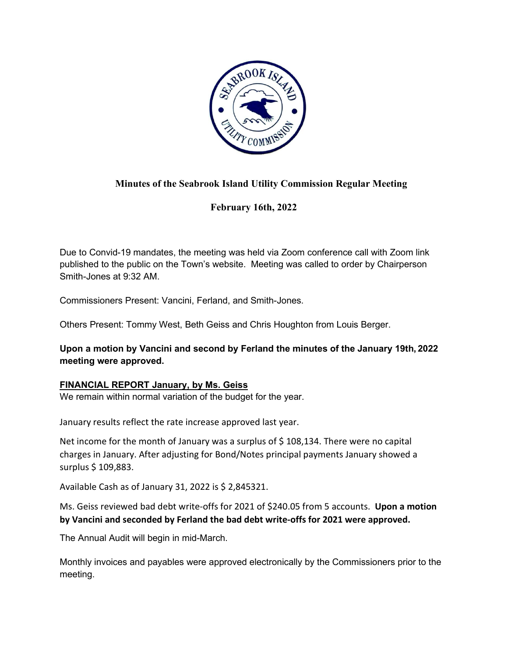

# **Minutes of the Seabrook Island Utility Commission Regular Meeting**

**February 16th, 2022** 

Due to Convid-19 mandates, the meeting was held via Zoom conference call with Zoom link published to the public on the Town's website. Meeting was called to order by Chairperson Smith-Jones at 9:32 AM.

Commissioners Present: Vancini, Ferland, and Smith-Jones.

Others Present: Tommy West, Beth Geiss and Chris Houghton from Louis Berger.

**Upon a motion by Vancini and second by Ferland the minutes of the January 19th, 2022 meeting were approved.**

# **FINANCIAL REPORT January, by Ms. Geiss**

We remain within normal variation of the budget for the year.

January results reflect the rate increase approved last year.

Net income for the month of January was a surplus of \$108,134. There were no capital charges in January. After adjusting for Bond/Notes principal payments January showed a surplus \$ 109,883.

Available Cash as of January 31, 2022 is \$ 2,845321.

Ms. Geiss reviewed bad debt write-offs for 2021 of \$240.05 from 5 accounts. **Upon a motion by Vancini and seconded by Ferland the bad debt write-offs for 2021 were approved.**

The Annual Audit will begin in mid-March.

Monthly invoices and payables were approved electronically by the Commissioners prior to the meeting.